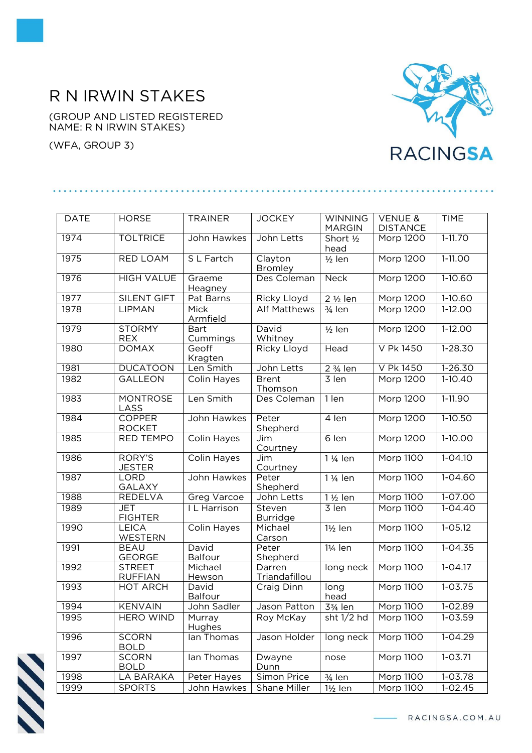## R N IRWIN STAKES

(GROUP AND LISTED REGISTERED NAME: R N IRWIN STAKES)

(WFA, GROUP 3)



| <b>DATE</b> | <b>HORSE</b>                    | <b>TRAINER</b>          | <b>JOCKEY</b>             | <b>WINNING</b>                    | <b>VENUE &amp;</b>           | <b>TIME</b> |
|-------------|---------------------------------|-------------------------|---------------------------|-----------------------------------|------------------------------|-------------|
| 1974        | <b>TOLTRICE</b>                 | John Hawkes             | John Letts                | <b>MARGIN</b>                     | <b>DISTANCE</b><br>Morp 1200 | $1 - 11.70$ |
|             |                                 |                         |                           | Short 1/2<br>head                 |                              |             |
| 1975        | <b>RED LOAM</b>                 | S L Fartch              | Clayton<br>Bromley        | $1/2$ len                         | <b>Morp 1200</b>             | $1-11.00$   |
| 1976        | <b>HIGH VALUE</b>               | Graeme<br>Heagney       | Des Coleman               | <b>Neck</b>                       | Morp 1200                    | $1-10.60$   |
| 1977        | <b>SILENT GIFT</b>              | Pat Barns               | Ricky Lloyd               | 2 1/2 len                         | Morp 1200                    | $1-10.60$   |
| 1978        | LIPMAN                          | Mick<br>Armfield        | <b>Alf Matthews</b>       | $3/4$ len                         | Morp 1200                    | 1-12.00     |
| 1979        | <b>STORMY</b><br><b>REX</b>     | <b>Bart</b><br>Cummings | David<br>Whitney          | $\frac{1}{2}$ len                 | Morp 1200                    | $1-12.00$   |
| 1980        | <b>DOMAX</b>                    | Geoff<br>Kragten        | Ricky Lloyd               | Head                              | V Pk 1450                    | $1 - 28.30$ |
| 1981        | <b>DUCATOON</b>                 | Len Smith               | John Letts                | 2 3/4 len                         | V Pk 1450                    | 1-26.30     |
| 1982        | <b>GALLEON</b>                  | Colin Hayes             | <b>Brent</b><br>Thomson   | 3 len                             | Morp 1200                    | $1-10.40$   |
| 1983        | <b>MONTROSE</b><br>LASS         | Len Smith               | Des Coleman               | 1 len                             | <b>Morp 1200</b>             | $1-11.90$   |
| 1984        | <b>COPPER</b><br><b>ROCKET</b>  | John Hawkes             | Peter<br>Shepherd         | 4 len                             | <b>Morp 1200</b>             | $1-10.50$   |
| 1985        | <b>RED TEMPO</b>                | Colin Hayes             | Jim<br>Courtney           | 6 len                             | <b>Morp 1200</b>             | $1-10.00$   |
| 1986        | RORY'S<br><b>JESTER</b>         | <b>Colin Hayes</b>      | Jim<br>Courtney           | 1 1/ <sub>4</sub> len             | <b>Morp 1100</b>             | $1 - 04.10$ |
| 1987        | <b>LORD</b><br>GALAXY           | John Hawkes             | Peter<br>Shepherd         | 1 1/ <sub>4</sub> len             | <b>Morp 1100</b>             | 1-04.60     |
| 1988        | <b>REDELVA</b>                  | Greg Varcoe             | John Letts                | 1 1/2 len                         | Morp 1100                    | 1-07.00     |
| 1989        | <b>JET</b><br><b>FIGHTER</b>    | I L Harrison            | Steven<br><b>Burridge</b> | 3 len                             | Morp 1100                    | $1 - 04.40$ |
| 1990        | <b>LEICA</b><br>WESTERN         | <b>Colin Hayes</b>      | Michael<br>Carson         | 1½ len                            | <b>Morp 1100</b>             | $1 - 05.12$ |
| 1991        | <b>BEAU</b><br><b>GEORGE</b>    | David<br>Balfour        | Peter<br>Shepherd         | 11/ <sub>4</sub> len              | <b>Morp 1100</b>             | $1 - 04.35$ |
| 1992        | <b>STREET</b><br><b>RUFFIAN</b> | Michael<br>Hewson       | Darren<br>Triandafillou   | long neck                         | Morp 1100                    | $1 - 04.17$ |
| 1993        | <b>HOT ARCH</b>                 | David<br><b>Balfour</b> | Craig Dinn                | long<br>head                      | Morp 1100                    | $1 - 03.75$ |
| 1994        | <b>KENVAIN</b>                  | John Sadler             | Jason Patton              | 3 <sup>3</sup> / <sub>4</sub> len | Morp 1100                    | 1-02.89     |
| 1995        | <b>HERO WIND</b>                | Murray<br>Hughes        | Roy McKay                 | sht $1/2$ hd                      | <b>Morp 1100</b>             | $1 - 03.59$ |
| 1996        | <b>SCORN</b><br><b>BOLD</b>     | lan Thomas              | Jason Holder              | long neck                         | Morp 1100                    | 1-04.29     |
| 1997        | <b>SCORN</b><br><b>BOLD</b>     | lan Thomas              | Dwayne<br>Dunn            | nose                              | Morp 1100                    | $1 - 03.71$ |
| 1998        | LA BARAKA                       | Peter Hayes             | Simon Price               | $\frac{3}{4}$ len                 | Morp 1100                    | 1-03.78     |
| 1999        | <b>SPORTS</b>                   | John Hawkes             | Shane Miller              | $1\frac{1}{2}$ len                | Morp 1100                    | $1 - 02.45$ |



- RACINGSA.COM.AU